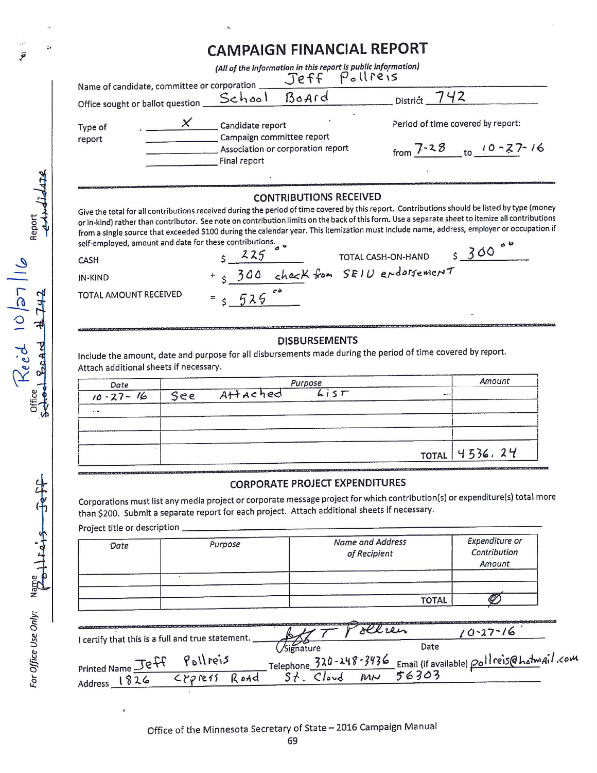## **CAMPAIGN FINANCIAL REPORT**

| Name of candidate, committee or corporation | (All of the information in this report is public information)<br>Pollreis<br>Jeff                  |                                                             |
|---------------------------------------------|----------------------------------------------------------------------------------------------------|-------------------------------------------------------------|
| Office sought or ballot question            | Board<br>School                                                                                    | District                                                    |
| Type of<br>report                           | Candidate report<br>Campaign committee report<br>Association or corporation report<br>Final report | Period of time covered by report:<br>7-28<br>$10 - 27 - 16$ |

#### **CONTRIBUTIONS RECEIVED**

Give the total for all contributions received during the period of time covered by this report. Contributions should be listed by type (money or in-kind) rather than contributor. See note on contribution limits on the back of this form. Use a separate sheet to itemize all contributions from a single source that exceeded \$100 during the calendar year. This itemization must include name, address, employer or occupation if self-employed, amount and date for these contributions.  $\circ$   $\circ$ 300

7

CASH

**TOTAL AMOUNT RE** 

IN-KIND

 $\mathbf{r}_1$ 

Report Jidaye

 $Reic$  10/27/16

BoArd

Office Schoo

 $F_{eff}$ 

For Office Use Only: Name  $\frac{1}{2}$   $\frac{1}{2}$ 

Ī

|        | 225       |  | TOTAL CASH-ON-HAND                  |
|--------|-----------|--|-------------------------------------|
|        |           |  | + 5 300 check from SEIU endorsement |
| CEIVED | $= 5.525$ |  |                                     |

# **DISBURSEMENTS**

Include the amount, date and purpose for all disbursements made during the period of time covered by report. Attach additional sheets if necessary.

| Date           |                   | Purpose |          | Amount          |
|----------------|-------------------|---------|----------|-----------------|
| $10 - 27 - 16$ | See Attached List |         | $\cdots$ |                 |
| $\ddotsc$      |                   |         |          |                 |
|                |                   |         |          |                 |
|                |                   |         |          | TOTAL $4536.24$ |

#### **CORPORATE PROJECT EXPENDITURES**

Corporations must list any media project or corporate message project for which contribution(s) or expenditure(s) total more than \$200. Submit a separate report for each project. Attach additional sheets if necessary.

Project title or description

| Date | Purpose | <b>Name and Address</b><br>of Recipient | Expenditure or<br>Contribution<br>Amount |
|------|---------|-----------------------------------------|------------------------------------------|
|      |         |                                         |                                          |
|      |         | <b>TOTAL</b>                            |                                          |

|                                                   |            |       |                              |      |    | $(1 - 27 - 16)$                                |  |
|---------------------------------------------------|------------|-------|------------------------------|------|----|------------------------------------------------|--|
| I certify that this is a full and true statement. |            |       | /Signature                   |      |    | Date                                           |  |
|                                                   | 11005      |       | Telephone $320 - 248 - 3436$ |      |    | 's Email (if available) poll reis@hotmAil, com |  |
| Printed Name $\mathcal{I}e^{+}$                   | $CPP$ ref' | R oad |                              | ibud | MN | 56303                                          |  |
| address                                           |            |       |                              |      |    |                                                |  |